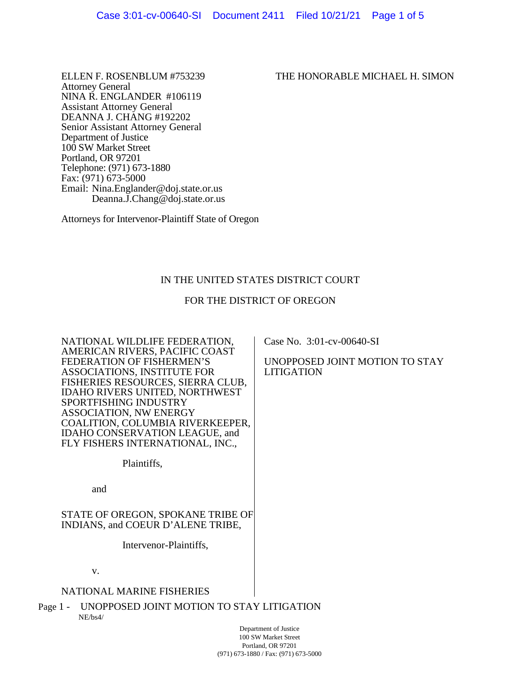Attorney General NINA R. ENGLANDER #106119 Assistant Attorney General DEANNA J. CHANG #192202 Senior Assistant Attorney General Department of Justice 100 SW Market Street Portland, OR 97201 Telephone: (971) 673-1880 Fax: (971) 673-5000 Email: Nina.Englander@doj.state.or.us Deanna.J.Chang@doj.state.or.us

Attorneys for Intervenor-Plaintiff State of Oregon

# IN THE UNITED STATES DISTRICT COURT

## FOR THE DISTRICT OF OREGON

Case No. 3:01-cv-00640-SI

LITIGATION

UNOPPOSED JOINT MOTION TO STAY

NATIONAL WILDLIFE FEDERATION, AMERICAN RIVERS, PACIFIC COAST FEDERATION OF FISHERMEN'S ASSOCIATIONS, INSTITUTE FOR FISHERIES RESOURCES, SIERRA CLUB, IDAHO RIVERS UNITED, NORTHWEST SPORTFISHING INDUSTRY ASSOCIATION, NW ENERGY COALITION, COLUMBIA RIVERKEEPER, IDAHO CONSERVATION LEAGUE, and FLY FISHERS INTERNATIONAL, INC.,

Plaintiffs,

and

STATE OF OREGON, SPOKANE TRIBE OF INDIANS, and COEUR D'ALENE TRIBE,

Intervenor-Plaintiffs,

v.

### NATIONAL MARINE FISHERIES

Page 1 - UNOPPOSED JOINT MOTION TO STAY LITIGATION NE/bs4/

> Department of Justice 100 SW Market Street Portland, OR 97201 (971) 673-1880 / Fax: (971) 673-5000

#### ELLEN F. ROSENBLUM #753239 THE HONORABLE MICHAEL H. SIMON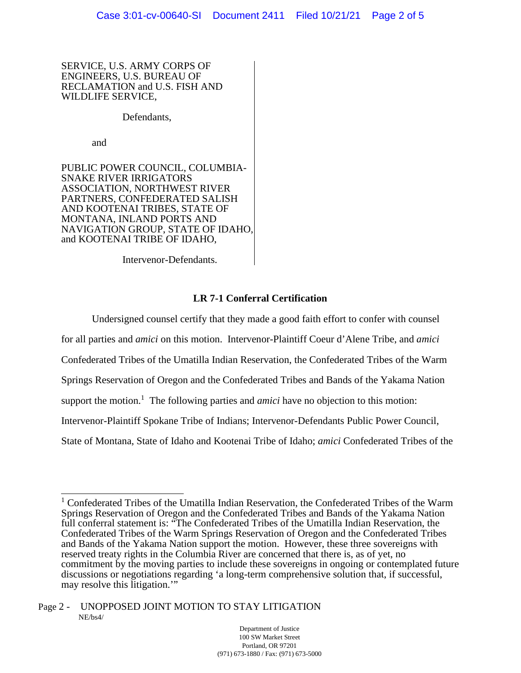SERVICE, U.S. ARMY CORPS OF ENGINEERS, U.S. BUREAU OF RECLAMATION and U.S. FISH AND WILDLIFE SERVICE,

Defendants,

and

PUBLIC POWER COUNCIL, COLUMBIA-SNAKE RIVER IRRIGATORS ASSOCIATION, NORTHWEST RIVER PARTNERS, CONFEDERATED SALISH AND KOOTENAI TRIBES, STATE OF MONTANA, INLAND PORTS AND NAVIGATION GROUP, STATE OF IDAHO, and KOOTENAI TRIBE OF IDAHO,

Intervenor-Defendants.

## **LR 7-1 Conferral Certification**

Undersigned counsel certify that they made a good faith effort to confer with counsel for all parties and *amici* on this motion. Intervenor-Plaintiff Coeur d'Alene Tribe, and *amici* Confederated Tribes of the Umatilla Indian Reservation, the Confederated Tribes of the Warm Springs Reservation of Oregon and the Confederated Tribes and Bands of the Yakama Nation support the motion.<sup>1</sup> The following parties and *amici* have no objection to this motion: Intervenor-Plaintiff Spokane Tribe of Indians; Intervenor-Defendants Public Power Council, State of Montana, State of Idaho and Kootenai Tribe of Idaho; *amici* Confederated Tribes of the

<sup>&</sup>lt;sup>1</sup> Confederated Tribes of the Umatilla Indian Reservation, the Confederated Tribes of the Warm Springs Reservation of Oregon and the Confederated Tribes and Bands of the Yakama Nation full conferral statement is: "The Confederated Tribes of the Umatilla Indian Reservation, the Confederated Tribes of the Warm Springs Reservation of Oregon and the Confederated Tribes and Bands of the Yakama Nation support the motion. However, these three sovereigns with reserved treaty rights in the Columbia River are concerned that there is, as of yet, no commitment by the moving parties to include these sovereigns in ongoing or contemplated future discussions or negotiations regarding 'a long-term comprehensive solution that, if successful, may resolve this litigation."

Page 2 - UNOPPOSED JOINT MOTION TO STAY LITIGATION NE/bs4/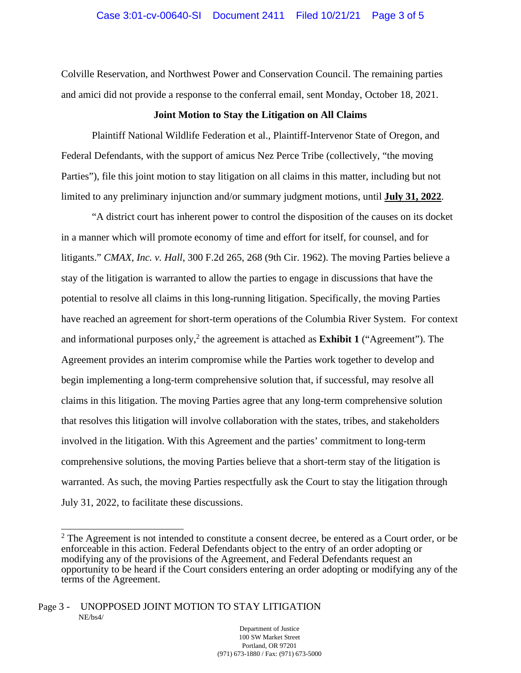Colville Reservation, and Northwest Power and Conservation Council. The remaining parties and amici did not provide a response to the conferral email, sent Monday, October 18, 2021.

#### **Joint Motion to Stay the Litigation on All Claims**

Plaintiff National Wildlife Federation et al., Plaintiff-Intervenor State of Oregon, and Federal Defendants, with the support of amicus Nez Perce Tribe (collectively, "the moving Parties"), file this joint motion to stay litigation on all claims in this matter, including but not limited to any preliminary injunction and/or summary judgment motions, until **July 31, 2022**.

"A district court has inherent power to control the disposition of the causes on its docket in a manner which will promote economy of time and effort for itself, for counsel, and for litigants." *CMAX, Inc. v. Hall*, 300 F.2d 265, 268 (9th Cir. 1962). The moving Parties believe a stay of the litigation is warranted to allow the parties to engage in discussions that have the potential to resolve all claims in this long-running litigation. Specifically, the moving Parties have reached an agreement for short-term operations of the Columbia River System. For context and informational purposes only,<sup>2</sup> the agreement is attached as **Exhibit 1** ("Agreement"). The Agreement provides an interim compromise while the Parties work together to develop and begin implementing a long-term comprehensive solution that, if successful, may resolve all claims in this litigation. The moving Parties agree that any long-term comprehensive solution that resolves this litigation will involve collaboration with the states, tribes, and stakeholders involved in the litigation. With this Agreement and the parties' commitment to long-term comprehensive solutions, the moving Parties believe that a short-term stay of the litigation is warranted. As such, the moving Parties respectfully ask the Court to stay the litigation through July 31, 2022, to facilitate these discussions.

 $2$  The Agreement is not intended to constitute a consent decree, be entered as a Court order, or be enforceable in this action. Federal Defendants object to the entry of an order adopting or modifying any of the provisions of the Agreement, and Federal Defendants request an opportunity to be heard if the Court considers entering an order adopting or modifying any of the terms of the Agreement.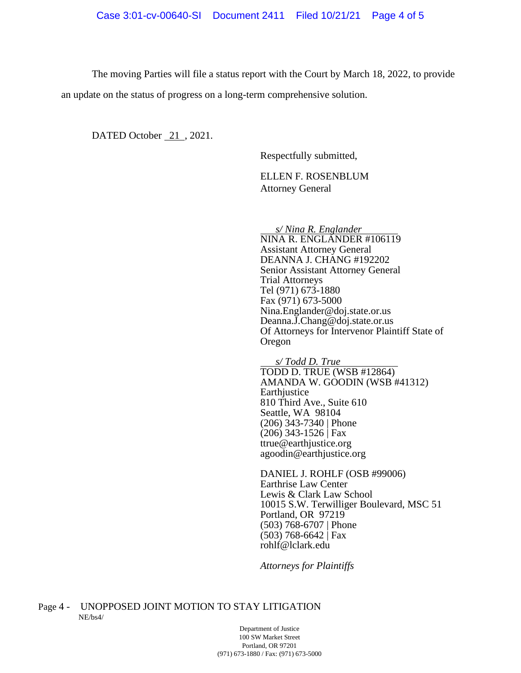The moving Parties will file a status report with the Court by March 18, 2022, to provide an update on the status of progress on a long-term comprehensive solution.

DATED October 21, 2021.

Respectfully submitted,

ELLEN F. ROSENBLUM Attorney General

*s/ Nina R. Englander*

NINA R. ENGLANDER #106119 Assistant Attorney General DEANNA J. CHANG #192202 Senior Assistant Attorney General Trial Attorneys Tel (971) 673-1880 Fax (971) 673-5000 Nina.Englander@doj.state.or.us Deanna.J.Chang@doj.state.or.us Of Attorneys for Intervenor Plaintiff State of Oregon

*s/ Todd D. True* TODD D. TRUE (WSB #12864) AMANDA W. GOODIN (WSB #41312) **Earthjustice** 810 Third Ave., Suite 610 Seattle, WA 98104 (206) 343-7340 | Phone (206) 343-1526 | Fax ttrue@earthjustice.org agoodin@earthjustice.org

DANIEL J. ROHLF (OSB #99006) Earthrise Law Center Lewis & Clark Law School 10015 S.W. Terwilliger Boulevard, MSC 51 Portland, OR 97219 (503) 768-6707 | Phone (503) 768-6642 | Fax rohlf@lclark.edu

*Attorneys for Plaintiffs* 

Page 4 - UNOPPOSED JOINT MOTION TO STAY LITIGATION NE/bs4/

Department of Justice 100 SW Market Street Portland, OR 97201 (971) 673-1880 / Fax: (971) 673-5000